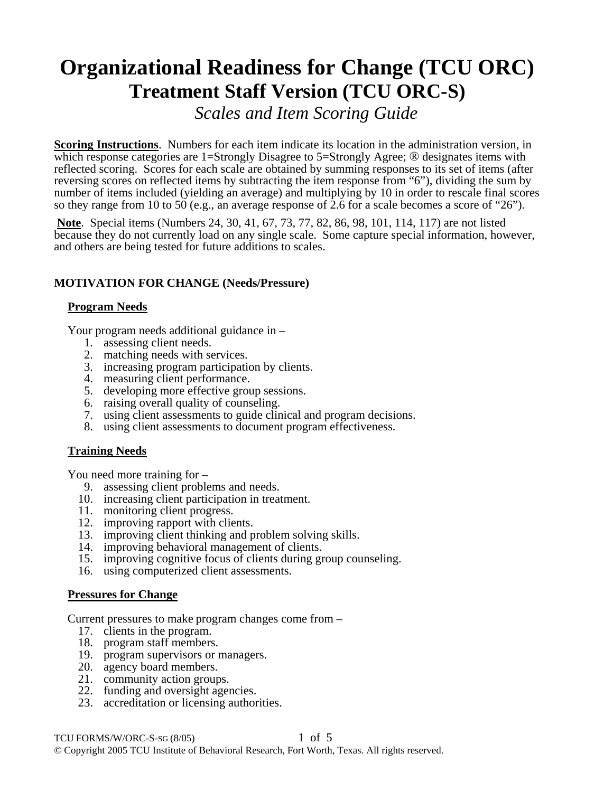# **Organizational Readiness for Change (TCU ORC) Treatment Staff Version (TCU ORC-S)**

*Scales and Item Scoring Guide*

**Scoring Instructions**. Numbers for each item indicate its location in the administration version, in which response categories are 1=Strongly Disagree to 5=Strongly Agree; ® designates items with reflected scoring. Scores for each scale are obtained by summing responses to its set of items (after reversing scores on reflected items by subtracting the item response from "6"), dividing the sum by number of items included (yielding an average) and multiplying by 10 in order to rescale final scores so they range from 10 to 50 (e.g., an average response of 2.6 for a scale becomes a score of "26").

**Note**. Special items (Numbers 24, 30, 41, 67, 73, 77, 82, 86, 98, 101, 114, 117) are not listed because they do not currently load on any single scale. Some capture special information, however, and others are being tested for future additions to scales.

# **MOTIVATION FOR CHANGE (Needs/Pressure)**

# **Program Needs**

Your program needs additional guidance in –

- 1. assessing client needs.
- 2. matching needs with services.
- 3. increasing program participation by clients.
- 4. measuring client performance.
- 5. developing more effective group sessions.
- 6. raising overall quality of counseling.
- 7. using client assessments to guide clinical and program decisions.
- 8. using client assessments to document program effectiveness.

# **Training Needs**

You need more training for –

- 9. assessing client problems and needs.
- 10. increasing client participation in treatment.
- 11. monitoring client progress.
- 12. improving rapport with clients.
- 13. improving client thinking and problem solving skills.
- 14. improving behavioral management of clients.
- 15. improving cognitive focus of clients during group counseling.
- 16. using computerized client assessments.

# **Pressures for Change**

Current pressures to make program changes come from –

- 17. clients in the program.
- 18. program staff members.
- 19. program supervisors or managers.
- 20. agency board members.
- 21. community action groups.
- 22. funding and oversight agencies.
- 23. accreditation or licensing authorities.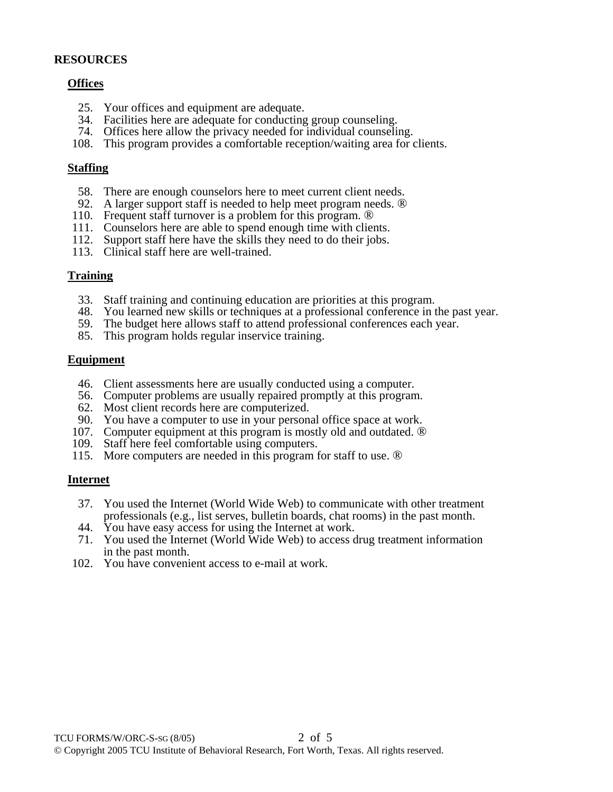#### **RESOURCES**

#### **Offices**

- 25. Your offices and equipment are adequate.
- 34. Facilities here are adequate for conducting group counseling.
- 74. Offices here allow the privacy needed for individual counseling.
- 108. This program provides a comfortable reception/waiting area for clients.

#### **Staffing**

- 58. There are enough counselors here to meet current client needs.
- 92. A larger support staff is needed to help meet program needs. ®
- 110. Frequent staff turnover is a problem for this program. ®
- 111. Counselors here are able to spend enough time with clients.
- 112. Support staff here have the skills they need to do their jobs.
- 113. Clinical staff here are well-trained.

#### **Training**

- 33. Staff training and continuing education are priorities at this program.
- 48. You learned new skills or techniques at a professional conference in the past year.
- 59. The budget here allows staff to attend professional conferences each year.
- 85. This program holds regular inservice training.

#### **Equipment**

- 46. Client assessments here are usually conducted using a computer.
- 56. Computer problems are usually repaired promptly at this program.
- 62. Most client records here are computerized.
- 90. You have a computer to use in your personal office space at work.
- 107. Computer equipment at this program is mostly old and outdated. ®
- 109. Staff here feel comfortable using computers.
- 115. More computers are needed in this program for staff to use. ®

#### **Internet**

- 37. You used the Internet (World Wide Web) to communicate with other treatment professionals (e.g., list serves, bulletin boards, chat rooms) in the past month.
- 44. You have easy access for using the Internet at work.
- 71. You used the Internet (World Wide Web) to access drug treatment information in the past month.
- 102. You have convenient access to e-mail at work.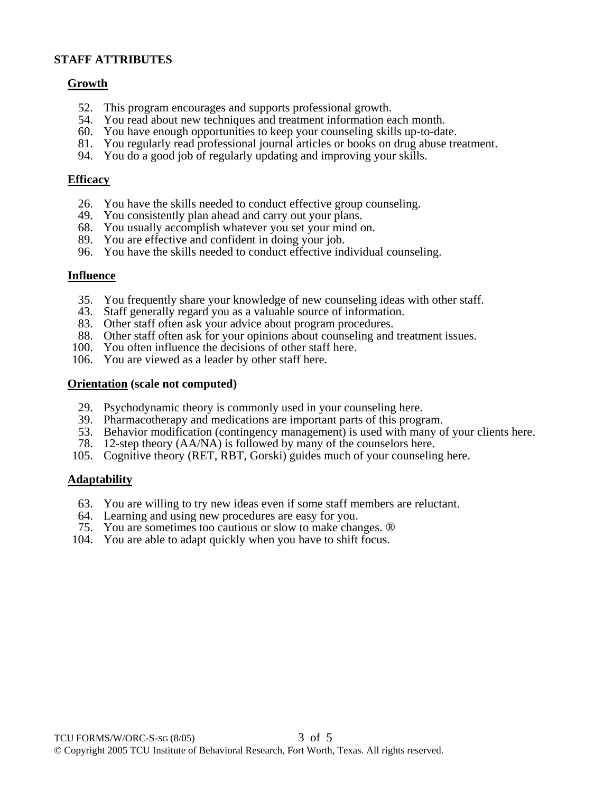## **STAFF ATTRIBUTES**

## **Growth**

- 52. This program encourages and supports professional growth.
- 54. You read about new techniques and treatment information each month.
- 60. You have enough opportunities to keep your counseling skills up-to-date.
- 81. You regularly read professional journal articles or books on drug abuse treatment.
- 94. You do a good job of regularly updating and improving your skills.

## **Efficacy**

- 26. You have the skills needed to conduct effective group counseling.
- 49. You consistently plan ahead and carry out your plans.
- 68. You usually accomplish whatever you set your mind on.
- 89. You are effective and confident in doing your job.
- 96. You have the skills needed to conduct effective individual counseling.

#### **Influence**

- 35. You frequently share your knowledge of new counseling ideas with other staff.
- 43. Staff generally regard you as a valuable source of information.
- 83. Other staff often ask your advice about program procedures.
- 88. Other staff often ask for your opinions about counseling and treatment issues.
- 100. You often influence the decisions of other staff here.
- 106. You are viewed as a leader by other staff here.

#### **Orientation (scale not computed)**

- 29. Psychodynamic theory is commonly used in your counseling here.
- 39. Pharmacotherapy and medications are important parts of this program.
- 53. Behavior modification (contingency management) is used with many of your clients here.
- 78. 12-step theory (AA/NA) is followed by many of the counselors here.
- 105. Cognitive theory (RET, RBT, Gorski) guides much of your counseling here.

## **Adaptability**

- 63. You are willing to try new ideas even if some staff members are reluctant.
- 64. Learning and using new procedures are easy for you.
- 75. You are sometimes too cautious or slow to make changes. ®
- 104. You are able to adapt quickly when you have to shift focus.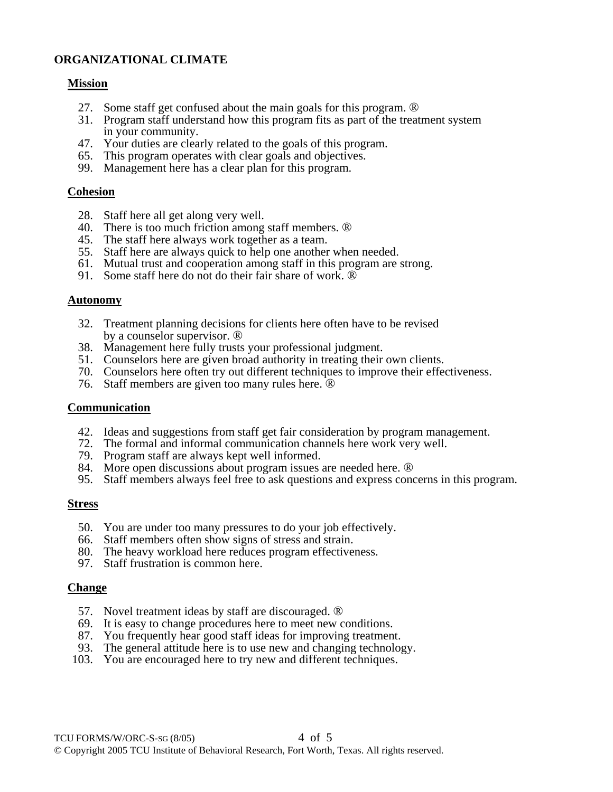# **ORGANIZATIONAL CLIMATE**

#### **Mission**

- 27. Some staff get confused about the main goals for this program. ®
- 31. Program staff understand how this program fits as part of the treatment system in your community.
- 47. Your duties are clearly related to the goals of this program.
- 65. This program operates with clear goals and objectives.
- 99. Management here has a clear plan for this program.

#### **Cohesion**

- 28. Staff here all get along very well.
- 40. There is too much friction among staff members. ®
- 45. The staff here always work together as a team.
- 55. Staff here are always quick to help one another when needed.
- 61. Mutual trust and cooperation among staff in this program are strong.
- 91. Some staff here do not do their fair share of work.  $\overline{\mathbb{D}}$

#### **Autonomy**

- 32. Treatment planning decisions for clients here often have to be revised by a counselor supervisor. ®
- 38. Management here fully trusts your professional judgment.
- 51. Counselors here are given broad authority in treating their own clients.
- 70. Counselors here often try out different techniques to improve their effectiveness.
- 76. Staff members are given too many rules here. ®

#### **Communication**

- 42. Ideas and suggestions from staff get fair consideration by program management.
- 72. The formal and informal communication channels here work very well.
- 79. Program staff are always kept well informed.
- 84. More open discussions about program issues are needed here. ®
- 95. Staff members always feel free to ask questions and express concerns in this program.

#### **Stress**

- 50. You are under too many pressures to do your job effectively.
- 66. Staff members often show signs of stress and strain.
- 80. The heavy workload here reduces program effectiveness.
- 97. Staff frustration is common here.

#### **Change**

- 57. Novel treatment ideas by staff are discouraged. ®
- 69. It is easy to change procedures here to meet new conditions.
- 87. You frequently hear good staff ideas for improving treatment.
- 93. The general attitude here is to use new and changing technology.
- 103. You are encouraged here to try new and different techniques.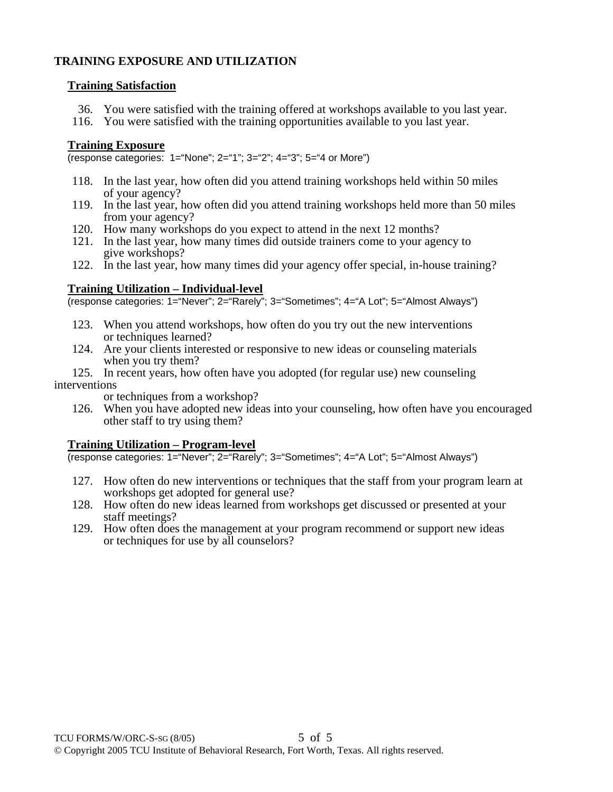# **TRAINING EXPOSURE AND UTILIZATION**

## **Training Satisfaction**

- 36. You were satisfied with the training offered at workshops available to you last year.
- 116. You were satisfied with the training opportunities available to you last year.

# **Training Exposure**

(response categories: 1="None"; 2="1"; 3="2"; 4="3"; 5="4 or More")

- 118. In the last year, how often did you attend training workshops held within 50 miles of your agency?
- 119. In the last year, how often did you attend training workshops held more than 50 miles from your agency?
- 120. How many workshops do you expect to attend in the next 12 months?
- 121. In the last year, how many times did outside trainers come to your agency to give workshops?
- 122. In the last year, how many times did your agency offer special, in-house training?

# **Training Utilization – Individual-level**

(response categories: 1="Never"; 2="Rarely"; 3="Sometimes"; 4="A Lot"; 5="Almost Always")

- 123. When you attend workshops, how often do you try out the new interventions or techniques learned?
- 124. Are your clients interested or responsive to new ideas or counseling materials when you try them?
- 125. In recent years, how often have you adopted (for regular use) new counseling interventions

or techniques from a workshop?

 126. When you have adopted new ideas into your counseling, how often have you encouraged other staff to try using them?

## **Training Utilization – Program-level**

(response categories: 1="Never"; 2="Rarely"; 3="Sometimes"; 4="A Lot"; 5="Almost Always")

- 127. How often do new interventions or techniques that the staff from your program learn at workshops get adopted for general use?
- 128. How often do new ideas learned from workshops get discussed or presented at your staff meetings?
- 129. How often does the management at your program recommend or support new ideas or techniques for use by all counselors?